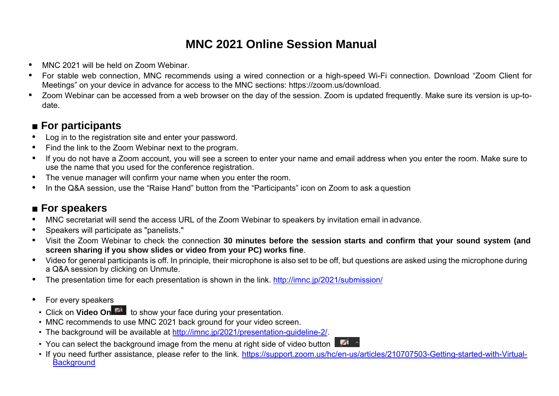# **MNC 2021 Online Session Manual**

- . MNC 2021 will be held on Zoom Webinar.
- . For stable web connection, MNC recommends using a wired connection or a high-speed Wi-Fi connection. Download "Zoom Client for Meetings" on your device in advance for access to the MNC sections: https://zoom.us/download.
- . Zoom Webinar can be accessed from a web browser on the day of the session. Zoom is updated frequently. Make sure its version is up-todate.

### ■ **For participants**

- . Log in to the registration site and enter your password.
- $\bullet$ Find the link to the Zoom Webinar next to the program.
- $\bullet$  If you do not have a Zoom account, you will see a screen to enter your name and email address when you enter the room. Make sure to use the name that you used for the conference registration.
- $\bullet$ The venue manager will confirm your name when you enter the room.
- $\bullet$ In the Q&A session, use the "Raise Hand" button from the "Participants" icon on Zoom to ask a question

## ■ For speakers

- $\bullet$ MNC secretariat will send the access URL of the Zoom Webinar to speakers by invitation email in advance.
- . Speakers will participate as "panelists."
- $\bullet$  Visit the Zoom Webinar to check the connection **30 minutes before the session starts and confirm that your sound system (and screen sharing if you show slides or video from your PC) works fine**.
- $\bullet$  Video for general participants is off. In principle, their microphone is also set to be off, but questions are asked using the microphone during a Q&A session by clicking on Unmute.
- $\bullet$ The presentation time for each presentation is shown in the link. http://imnc.jp/2021/submission/
- $\bullet$  For every speakers
	- Click on Video On<sup>174</sup> to show your face during your presentation.
	- MNC recommends to use MNC 2021 back ground for your video screen.
	- The background will be available at http://imnc.jp/2021/presentation-guideline-2/.
	- $\sqrt{1}$ • You can select the background image from the menu at right side of video button
	- If you need further assistance, please refer to the link. https://support.zoom.us/hc/en-us/articles/210707503-Getting-started-with-Virtual-**Background**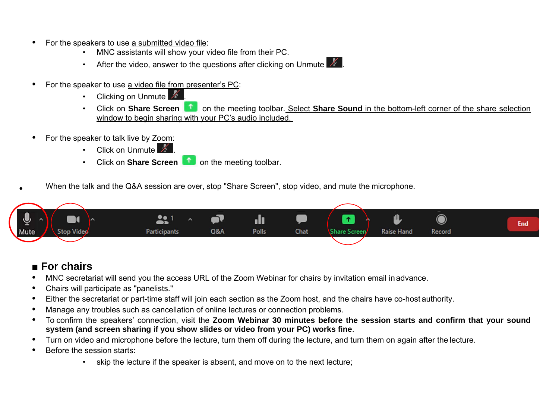- $\bullet$  For the speakers to use a submitted video file:
	- MNC assistants will show your video file from their PC.
	- After the video, answer to the questions after clicking on Unmute  $\mathbb Z$
- $\bullet$  For the speaker to use a video file from presenter's PC:
	- **Clicking on Unmute ...**
	- **Click on Share Screen 1** on the meeting toolbar. Select **Share Sound** in the bottom-left corner of the share selection window to begin sharing with your PC's audio included.
- . For the speaker to talk live by Zoom:
	- Click on Unmute  $\mathbb{Z}$
	- **Click on Share Screen on the meeting toolbar.**
- When the talk and the Q&A session are over, stop "Share Screen", stop video, and mute the microphone.



#### ■ **For chairs**

.

- . MNC secretariat will send you the access URL of the Zoom Webinar for chairs by invitation email in advance.
- $\bullet$ Chairs will participate as "panelists."
- $\bullet$ Either the secretariat or part-time staff will join each section as the Zoom host, and the chairs have co-host authority.
- $\bullet$ Manage any troubles such as cancellation of online lectures or connection problems.
- $\bullet$  To confirm the speakers' connection, visit the **Zoom Webinar 30 minutes before the session starts and confirm that your sound system (and screen sharing if you show slides or video from your PC) works fine**.
- $\bullet$ Turn on video and microphone before the lecture, turn them off during the lecture, and turn them on again after the lecture.
- . Before the session starts:
	- skip the lecture if the speaker is absent, and move on to the next lecture;